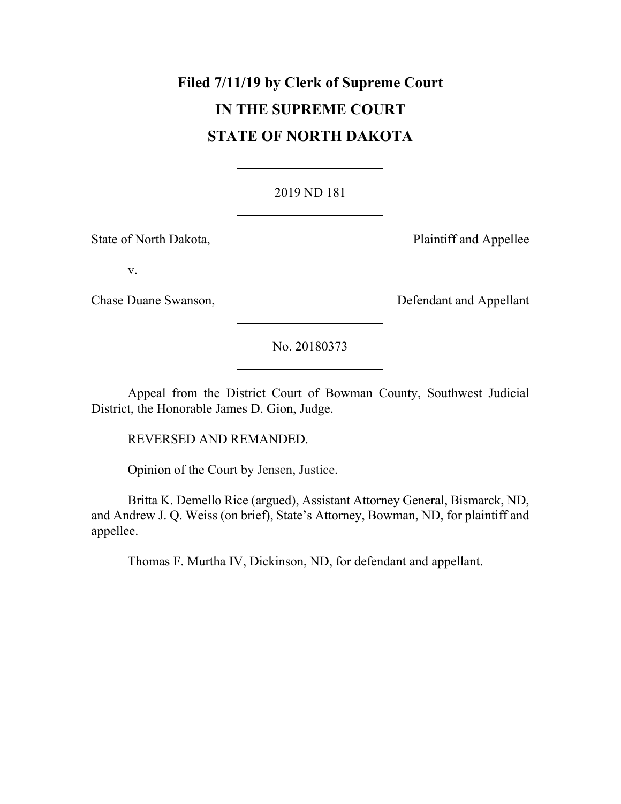# **Filed 7/11/19 by Clerk of Supreme Court IN THE SUPREME COURT STATE OF NORTH DAKOTA**

### 2019 ND 181

State of North Dakota, **Plaintiff and Appellee** 

v.

Chase Duane Swanson, The Chase Duane Swanson, The Defendant and Appellant

No. 20180373

Appeal from the District Court of Bowman County, Southwest Judicial District, the Honorable James D. Gion, Judge.

REVERSED AND REMANDED.

Opinion of the Court by Jensen, Justice.

Britta K. Demello Rice (argued), Assistant Attorney General, Bismarck, ND, and Andrew J. Q. Weiss (on brief), State's Attorney, Bowman, ND, for plaintiff and appellee.

Thomas F. Murtha IV, Dickinson, ND, for defendant and appellant.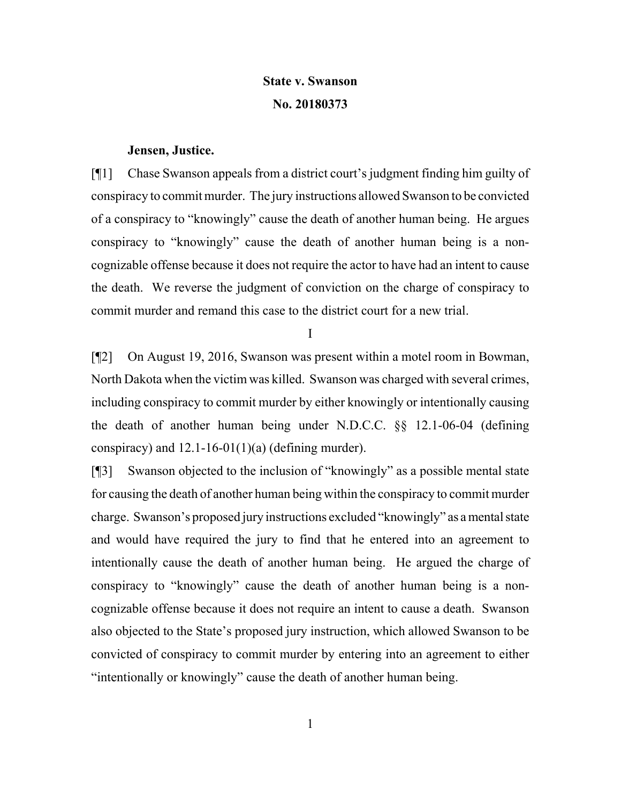# **State v. Swanson No. 20180373**

#### **Jensen, Justice.**

[¶1] Chase Swanson appeals from a district court's judgment finding him guilty of conspiracy to commit murder. The jury instructions allowed Swanson to be convicted of a conspiracy to "knowingly" cause the death of another human being. He argues conspiracy to "knowingly" cause the death of another human being is a noncognizable offense because it does not require the actor to have had an intent to cause the death. We reverse the judgment of conviction on the charge of conspiracy to commit murder and remand this case to the district court for a new trial.

I

[¶2] On August 19, 2016, Swanson was present within a motel room in Bowman, North Dakota when the victim was killed. Swanson was charged with several crimes, including conspiracy to commit murder by either knowingly or intentionally causing the death of another human being under N.D.C.C. §§ 12.1-06-04 (defining conspiracy) and  $12.1\n-16\n-01(1)(a)$  (defining murder).

[¶3] Swanson objected to the inclusion of "knowingly" as a possible mental state for causing the death of another human being within the conspiracy to commit murder charge. Swanson's proposed jury instructions excluded "knowingly" as a mental state and would have required the jury to find that he entered into an agreement to intentionally cause the death of another human being. He argued the charge of conspiracy to "knowingly" cause the death of another human being is a noncognizable offense because it does not require an intent to cause a death. Swanson also objected to the State's proposed jury instruction, which allowed Swanson to be convicted of conspiracy to commit murder by entering into an agreement to either "intentionally or knowingly" cause the death of another human being.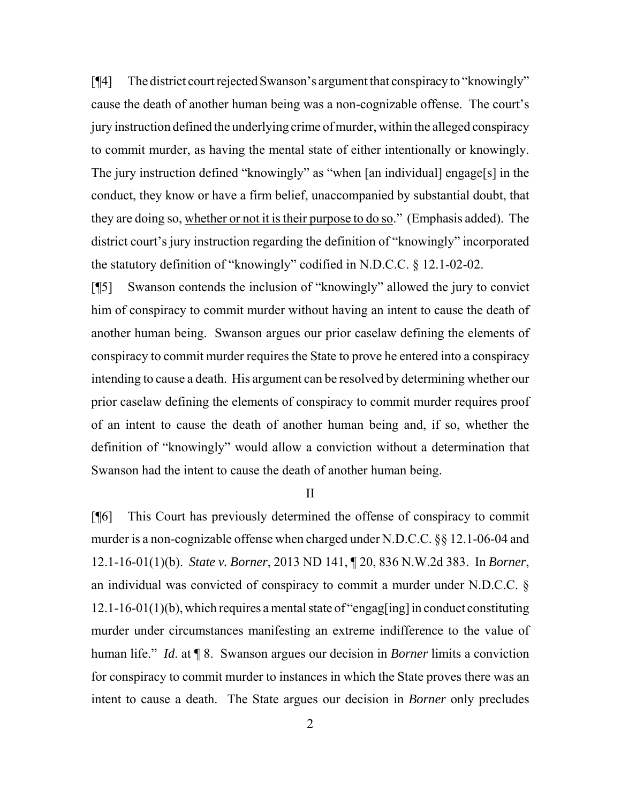[¶4] The district court rejected Swanson's argument that conspiracy to "knowingly" cause the death of another human being was a non-cognizable offense. The court's jury instruction defined the underlying crime of murder, within the alleged conspiracy to commit murder, as having the mental state of either intentionally or knowingly. The jury instruction defined "knowingly" as "when [an individual] engage[s] in the conduct, they know or have a firm belief, unaccompanied by substantial doubt, that they are doing so, whether or not it is their purpose to do so." (Emphasis added). The district court's jury instruction regarding the definition of "knowingly" incorporated the statutory definition of "knowingly" codified in N.D.C.C. § 12.1-02-02.

[¶5] Swanson contends the inclusion of "knowingly" allowed the jury to convict him of conspiracy to commit murder without having an intent to cause the death of another human being. Swanson argues our prior caselaw defining the elements of conspiracy to commit murder requires the State to prove he entered into a conspiracy intending to cause a death. His argument can be resolved by determining whether our prior caselaw defining the elements of conspiracy to commit murder requires proof of an intent to cause the death of another human being and, if so, whether the definition of "knowingly" would allow a conviction without a determination that Swanson had the intent to cause the death of another human being.

II

[¶6] This Court has previously determined the offense of conspiracy to commit murder is a non-cognizable offense when charged under N.D.C.C. §§ 12.1-06-04 and 12.1-16-01(1)(b). *State v. Borner*, 2013 ND 141, ¶ 20, 836 N.W.2d 383. In *Borner*, an individual was convicted of conspiracy to commit a murder under N.D.C.C. §  $12.1\n-16\n-01(1)(b)$ , which requires a mental state of "engag[ing] in conduct constituting murder under circumstances manifesting an extreme indifference to the value of human life." *Id*. at ¶ 8. Swanson argues our decision in *Borner* limits a conviction for conspiracy to commit murder to instances in which the State proves there was an intent to cause a death. The State argues our decision in *Borner* only precludes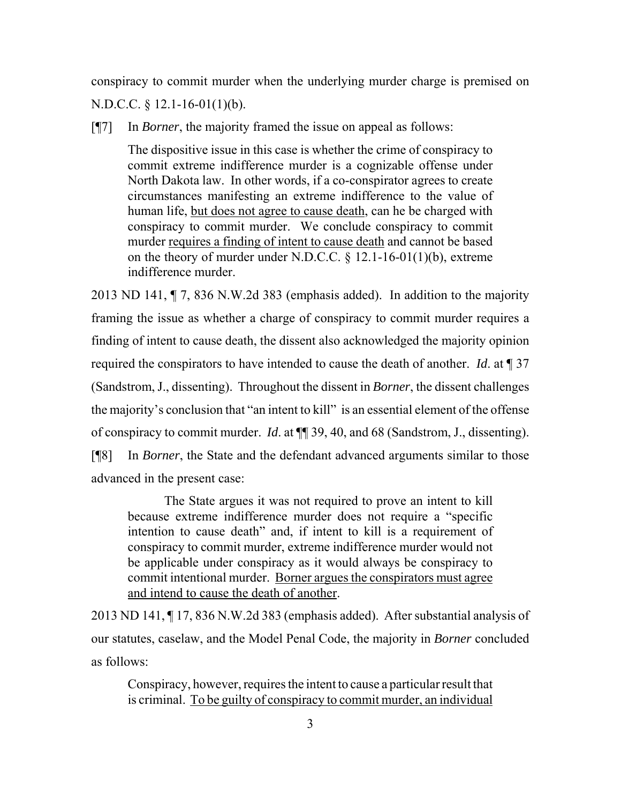conspiracy to commit murder when the underlying murder charge is premised on N.D.C.C. § 12.1-16-01(1)(b).

[¶7] In *Borner*, the majority framed the issue on appeal as follows:

The dispositive issue in this case is whether the crime of conspiracy to commit extreme indifference murder is a cognizable offense under North Dakota law. In other words, if a co-conspirator agrees to create circumstances manifesting an extreme indifference to the value of human life, but does not agree to cause death, can he be charged with conspiracy to commit murder. We conclude conspiracy to commit murder requires a finding of intent to cause death and cannot be based on the theory of murder under N.D.C.C. § 12.1-16-01(1)(b), extreme indifference murder.

2013 ND 141, ¶ 7, 836 N.W.2d 383 (emphasis added). In addition to the majority framing the issue as whether a charge of conspiracy to commit murder requires a finding of intent to cause death, the dissent also acknowledged the majority opinion required the conspirators to have intended to cause the death of another. *Id*. at ¶ 37 (Sandstrom, J., dissenting). Throughout the dissent in *Borner*, the dissent challenges the majority's conclusion that "an intent to kill" is an essential element of the offense of conspiracy to commit murder. *Id*. at ¶¶ 39, 40, and 68 (Sandstrom, J., dissenting). [¶8] In *Borner*, the State and the defendant advanced arguments similar to those advanced in the present case:

The State argues it was not required to prove an intent to kill because extreme indifference murder does not require a "specific intention to cause death" and, if intent to kill is a requirement of conspiracy to commit murder, extreme indifference murder would not be applicable under conspiracy as it would always be conspiracy to commit intentional murder. Borner argues the conspirators must agree and intend to cause the death of another.

2013 ND 141, ¶ 17, 836 N.W.2d 383 (emphasis added). After substantial analysis of our statutes, caselaw, and the Model Penal Code, the majority in *Borner* concluded as follows:

Conspiracy, however, requires the intent to cause a particular result that is criminal. To be guilty of conspiracy to commit murder, an individual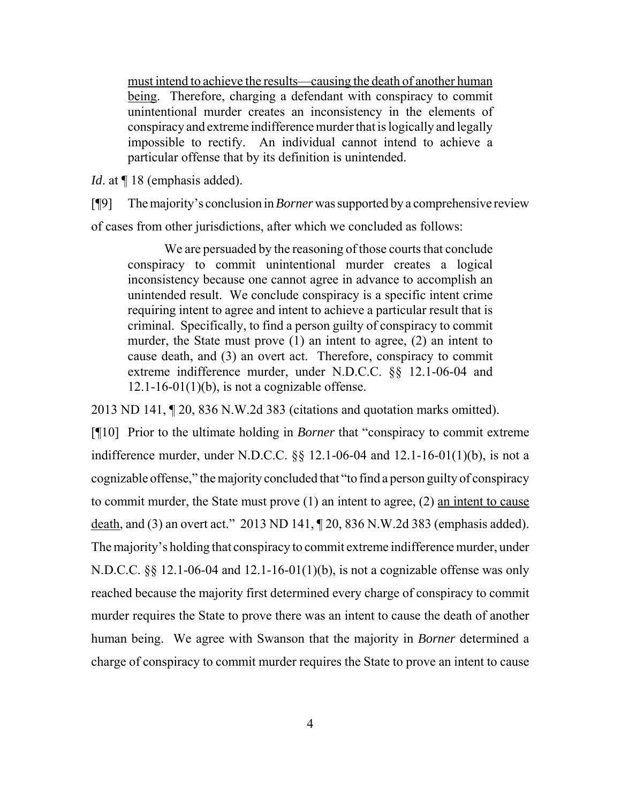must intend to achieve the results—causing the death of another human being. Therefore, charging a defendant with conspiracy to commit unintentional murder creates an inconsistency in the elements of conspiracy and extreme indifference murder that is logically and legally impossible to rectify. An individual cannot intend to achieve a particular offense that by its definition is unintended.

*Id.* at  $\P$  18 (emphasis added).

[¶9] The majority's conclusion in *Borner* was supported by a comprehensive review of cases from other jurisdictions, after which we concluded as follows:

We are persuaded by the reasoning of those courts that conclude conspiracy to commit unintentional murder creates a logical inconsistency because one cannot agree in advance to accomplish an unintended result. We conclude conspiracy is a specific intent crime requiring intent to agree and intent to achieve a particular result that is criminal. Specifically, to find a person guilty of conspiracy to commit murder, the State must prove (1) an intent to agree, (2) an intent to cause death, and (3) an overt act. Therefore, conspiracy to commit extreme indifference murder, under N.D.C.C. §§ 12.1-06-04 and  $12.1 - 16 - 01(1)(b)$ , is not a cognizable offense.

2013 ND 141, ¶ 20, 836 N.W.2d 383 (citations and quotation marks omitted).

[¶10] Prior to the ultimate holding in *Borner* that "conspiracy to commit extreme indifference murder, under N.D.C.C. §§ 12.1-06-04 and 12.1-16-01(1)(b), is not a cognizable offense," the majority concluded that "to find a person guilty of conspiracy to commit murder, the State must prove (1) an intent to agree, (2) an intent to cause death, and (3) an overt act." 2013 ND 141,  $\sqrt{20, 836}$  N.W.2d 383 (emphasis added). The majority's holding that conspiracy to commit extreme indifference murder, under N.D.C.C. §§ 12.1-06-04 and 12.1-16-01(1)(b), is not a cognizable offense was only reached because the majority first determined every charge of conspiracy to commit murder requires the State to prove there was an intent to cause the death of another human being. We agree with Swanson that the majority in *Borner* determined a charge of conspiracy to commit murder requires the State to prove an intent to cause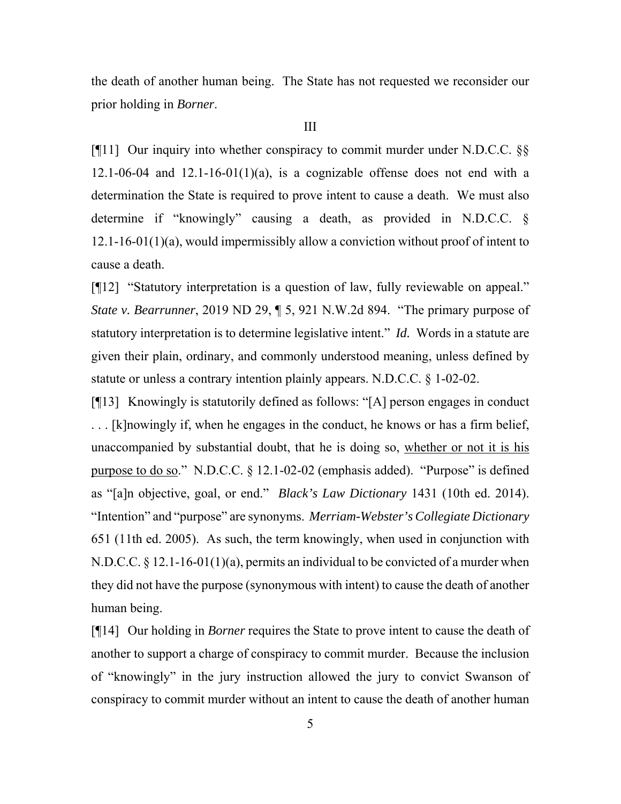the death of another human being. The State has not requested we reconsider our prior holding in *Borner*.

#### III

[¶11] Our inquiry into whether conspiracy to commit murder under N.D.C.C. §§ 12.1-06-04 and 12.1-16-01(1)(a), is a cognizable offense does not end with a determination the State is required to prove intent to cause a death. We must also determine if "knowingly" causing a death, as provided in N.D.C.C. § 12.1-16-01(1)(a), would impermissibly allow a conviction without proof of intent to cause a death.

[¶12] "Statutory interpretation is a question of law, fully reviewable on appeal." *State v. Bearrunner*, 2019 ND 29, ¶ 5, 921 N.W.2d 894. "The primary purpose of statutory interpretation is to determine legislative intent." *Id.* Words in a statute are given their plain, ordinary, and commonly understood meaning, unless defined by statute or unless a contrary intention plainly appears. N.D.C.C. § 1-02-02.

[¶13] Knowingly is statutorily defined as follows: "[A] person engages in conduct . . . [k]nowingly if, when he engages in the conduct, he knows or has a firm belief, unaccompanied by substantial doubt, that he is doing so, whether or not it is his purpose to do so." N.D.C.C. § 12.1-02-02 (emphasis added). "Purpose" is defined as "[a]n objective, goal, or end." *Black's Law Dictionary* 1431 (10th ed. 2014). "Intention" and "purpose" are synonyms. *Merriam-Webster's Collegiate Dictionary* 651 (11th ed. 2005). As such, the term knowingly, when used in conjunction with N.D.C.C. § 12.1-16-01(1)(a), permits an individual to be convicted of a murder when they did not have the purpose (synonymous with intent) to cause the death of another human being.

[¶14] Our holding in *Borner* requires the State to prove intent to cause the death of another to support a charge of conspiracy to commit murder. Because the inclusion of "knowingly" in the jury instruction allowed the jury to convict Swanson of conspiracy to commit murder without an intent to cause the death of another human